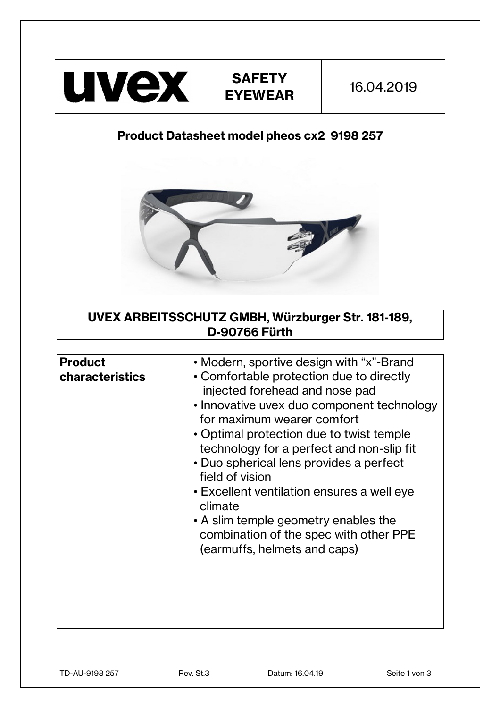

## **Product Datasheet model pheos cx2 9198 257**



## **UVEX ARBEITSSCHUTZ GMBH, Würzburger Str. 181-189, D-90766 Fürth**

| <b>Product</b>         | • Modern, sportive design with "x"-Brand   |
|------------------------|--------------------------------------------|
| <b>characteristics</b> | • Comfortable protection due to directly   |
|                        | injected forehead and nose pad             |
|                        | • Innovative uvex duo component technology |
|                        | for maximum wearer comfort                 |
|                        | • Optimal protection due to twist temple   |
|                        | technology for a perfect and non-slip fit  |
|                        | • Duo spherical lens provides a perfect    |
|                        | field of vision                            |
|                        | • Excellent ventilation ensures a well eye |
|                        | climate                                    |
|                        | • A slim temple geometry enables the       |
|                        | combination of the spec with other PPE     |
|                        | (earmuffs, helmets and caps)               |
|                        |                                            |
|                        |                                            |
|                        |                                            |
|                        |                                            |
|                        |                                            |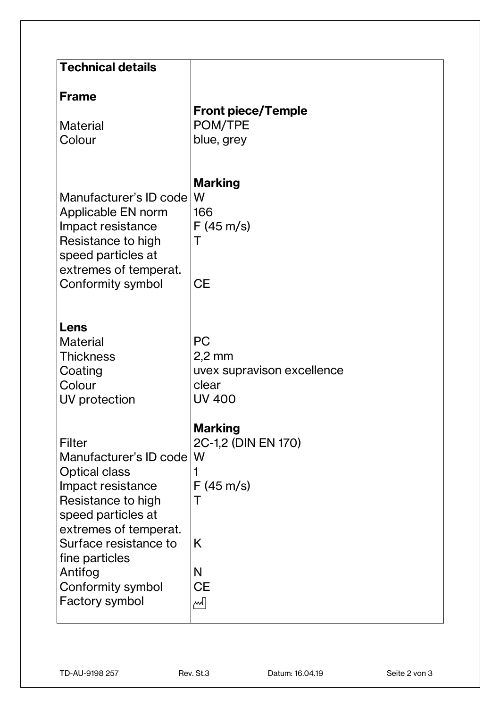| <b>Technical details</b>                                                                                                                                                                                                                                 |                                                                                                       |
|----------------------------------------------------------------------------------------------------------------------------------------------------------------------------------------------------------------------------------------------------------|-------------------------------------------------------------------------------------------------------|
| <b>Frame</b><br><b>Material</b><br>Colour                                                                                                                                                                                                                | <b>Front piece/Temple</b><br>POM/TPE<br>blue, grey                                                    |
| Manufacturer's ID code<br>Applicable EN norm<br>Impact resistance<br>Resistance to high<br>speed particles at<br>extremes of temperat.<br>Conformity symbol                                                                                              | <b>Marking</b><br>W<br>166<br>$F(45 \text{ m/s})$<br>Τ<br><b>CE</b>                                   |
| Lens<br><b>Material</b><br><b>Thickness</b><br>Coating<br>Colour<br>UV protection                                                                                                                                                                        | <b>PC</b><br>$2,2$ mm<br>uvex supravison excellence<br>clear<br><b>UV 400</b>                         |
| Filter<br>Manufacturer's ID code W<br><b>Optical class</b><br>Impact resistance<br>Resistance to high<br>speed particles at<br>extremes of temperat.<br>Surface resistance to<br>fine particles<br>Antifog<br>Conformity symbol<br><b>Factory symbol</b> | <b>Marking</b><br>2C-1,2 (DIN EN 170)<br>1<br>$F(45 \text{ m/s})$<br>Τ<br>K<br>N<br><b>CE</b><br>المم |